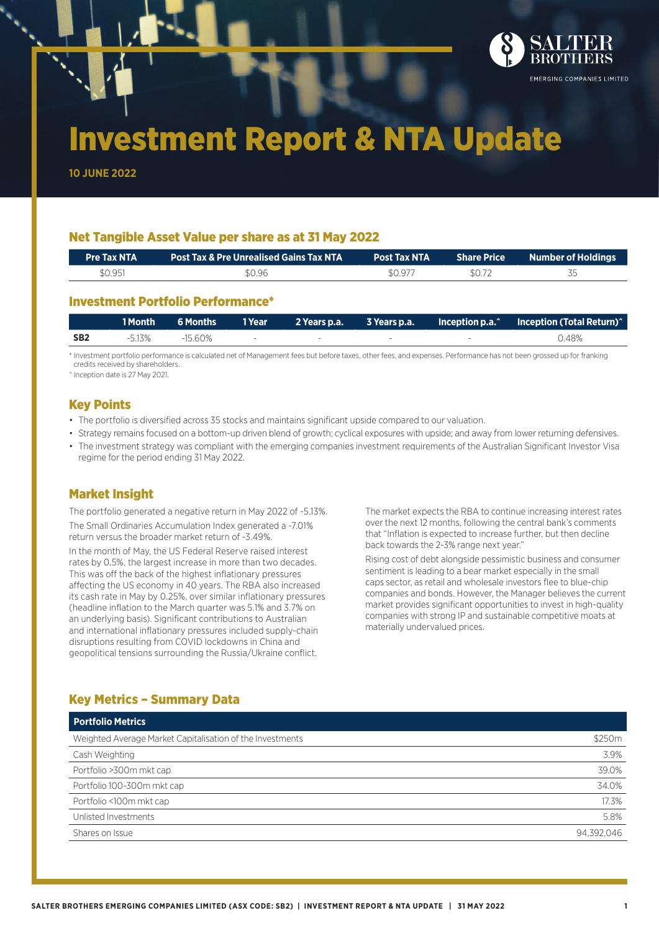

# Investment Report & NTA Update

**10 JUNE 2022**

## Net Tangible Asset Value per share as at 31 May 2022

|                   | <b>Post Tax NTA</b> | <b>Share Price Share Price Share Price Share Share Share Share Share Share Share Share Share Share Share Share S</b> |
|-------------------|---------------------|----------------------------------------------------------------------------------------------------------------------|
| \$0.951<br>\$0.96 | \$0.977<br>\$0.72   |                                                                                                                      |

## Investment Portfolio Performance\*

|                 | $\blacksquare$ 1 Month | $\,$ 6 Months $^{\,1}$ | 1 Year and 1  |                          |        | $\blacksquare$ Inception p.a. $\hat{\hspace{0.1cm}}$ Inception (Total Return) $\hat{\hspace{0.1cm}}$ |
|-----------------|------------------------|------------------------|---------------|--------------------------|--------|------------------------------------------------------------------------------------------------------|
| SB <sub>2</sub> | $-5.13\%$              | $-15.60%$              | $\sim$ $\sim$ | $\overline{\phantom{a}}$ | $\sim$ | 0.48%                                                                                                |

\* Investment portfolio performance is calculated net of Management fees but before taxes, other fees, and expenses. Performance has not been grossed up for franking credits received by shareholders.

^ Inception date is 27 May 2021.

## Key Points

- The portfolio is diversified across 35 stocks and maintains significant upside compared to our valuation.
- Strategy remains focused on a bottom-up driven blend of growth; cyclical exposures with upside; and away from lower returning defensives.
- The investment strategy was compliant with the emerging companies investment requirements of the Australian Significant Investor Visa regime for the period ending 31 May 2022.

## Market Insight

The portfolio generated a negative return in May 2022 of -5.13%. The Small Ordinaries Accumulation Index generated a -7.01% return versus the broader market return of -3.49%. In the month of May, the US Federal Reserve raised interest rates by 0.5%, the largest increase in more than two decades.

This was off the back of the highest inflationary pressures affecting the US economy in 40 years. The RBA also increased its cash rate in May by 0.25%, over similar inflationary pressures (headline inflation to the March quarter was 5.1% and 3.7% on an underlying basis). Significant contributions to Australian and international inflationary pressures included supply-chain disruptions resulting from COVID lockdowns in China and geopolitical tensions surrounding the Russia/Ukraine conflict.

The market expects the RBA to continue increasing interest rates over the next 12 months, following the central bank's comments that "Inflation is expected to increase further, but then decline back towards the 2-3% range next year."

Rising cost of debt alongside pessimistic business and consumer sentiment is leading to a bear market especially in the small caps sector, as retail and wholesale investors flee to blue-chip companies and bonds. However, the Manager believes the current market provides significant opportunities to invest in high-quality companies with strong IP and sustainable competitive moats at materially undervalued prices.

# Key Metrics – Summary Data

| <b>Portfolio Metrics</b>                                  |            |  |  |  |  |
|-----------------------------------------------------------|------------|--|--|--|--|
| Weighted Average Market Capitalisation of the Investments | \$250m     |  |  |  |  |
| Cash Weighting                                            | 3.9%       |  |  |  |  |
| Portfolio >300m mkt cap                                   | 39.0%      |  |  |  |  |
| Portfolio 100-300m mkt cap                                | 34.0%      |  |  |  |  |
| Portfolio <100m mkt cap                                   | 17.3%      |  |  |  |  |
| Unlisted Investments                                      | 5.8%       |  |  |  |  |
| Shares on Issue                                           | 94.392.046 |  |  |  |  |